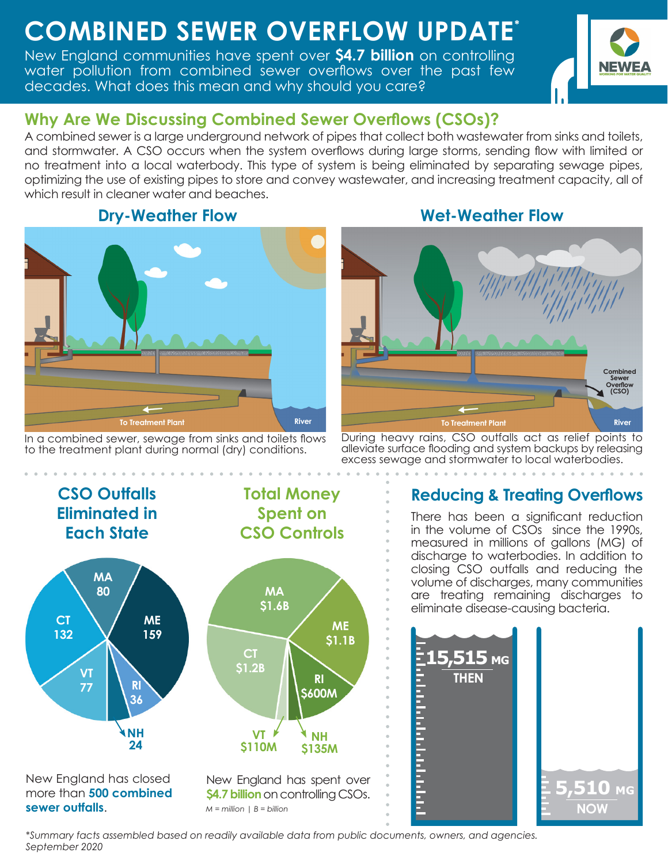# **COMBINED SEWER OVERFLOW UPDATE \***

New England communities have spent over **\$4.7 billion** on controlling water pollution from combined sewer overflows over the past few decades. What does this mean and why should you care?



#### **Why Are We Discussing Combined Sewer Overflows (CSOs)?**

A combined sewer is a large underground network of pipes that collect both wastewater from sinks and toilets, and stormwater. A CSO occurs when the system overflows during large storms, sending flow with limited or no treatment into a local waterbody. This type of system is being eliminated by separating sewage pipes, optimizing the use of existing pipes to store and convey wastewater, and increasing treatment capacity, all of which result in cleaner water and beaches.





In a combined sewer, sewage from sinks and toilets flows to the treatment plant during normal (dry) conditions.



During heavy rains, CSO outfalls act as relief points to alleviate surface flooding and system backups by releasing excess sewage and stormwater to local waterbodies.

#### **CSO Outfalls Eliminated in Each State ME 159 CT 132 MA 80 VT 77 NH 24 RI 36 Total Money Spent on CSO Controls MA \$1.6B ME \$1.1B CT \$1.2B RI \$600M VT \$110M NH \$135M** New England has closed more than **500 combined sewer outfalls**. New England has spent over **\$4.7 billion** on controlling CSOs. *M = million | B = billion*

## **Reducing & Treating Overflows**

There has been a significant reduction in the volume of CSOs since the 1990s, measured in millions of gallons (MG) of discharge to waterbodies. In addition to closing CSO outfalls and reducing the volume of discharges, many communities are treating remaining discharges to eliminate disease-causing bacteria.



*\*Summary facts assembled based on readily available data from public documents, owners, and agencies. September 2020*